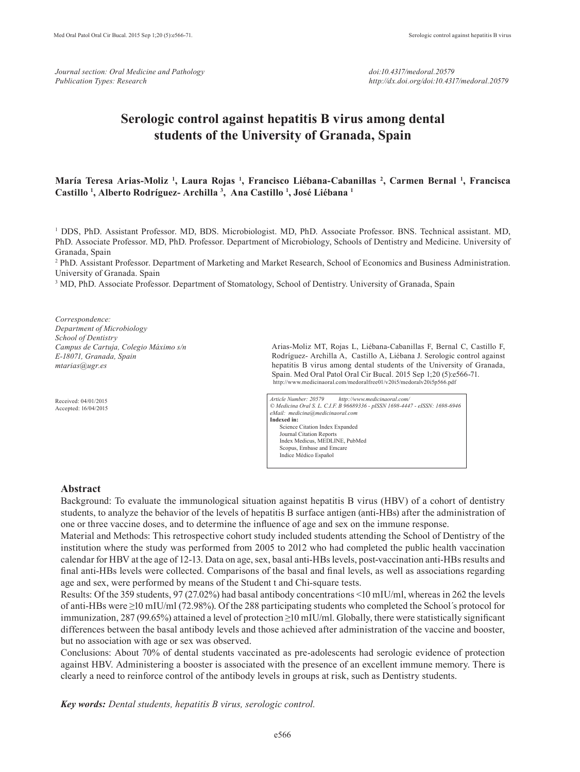*Journal section: Oral Medicine and Pathology Publication Types: Research*

# **Serologic control against hepatitis B virus among dental students of the University of Granada, Spain**

# **María Teresa Arias-Moliz 1 , Laura Rojas 1 , Francisco Liébana-Cabanillas 2 , Carmen Bernal 1 , Francisca Castillo 1 , Alberto Rodríguez- Archilla 3 , Ana Castillo 1 , José Liébana 1**

<sup>1</sup> DDS, PhD. Assistant Professor. MD, BDS. Microbiologist. MD, PhD. Associate Professor. BNS. Technical assistant. MD, PhD. Associate Professor. MD, PhD. Professor. Department of Microbiology, Schools of Dentistry and Medicine. University of Granada, Spain

2 PhD. Assistant Professor. Department of Marketing and Market Research, School of Economics and Business Administration. University of Granada. Spain

<sup>3</sup> MD, PhD. Associate Professor. Department of Stomatology, School of Dentistry. University of Granada, Spain

*Correspondence: Department of Microbiology School of Dentistry Campus de Cartuja, Colegio Máximo s/n E-18071, Granada, Spain mtarias@ugr.es*

Received: 04/01/2015 Accepted: 16/04/2015 Arias-Moliz MT, Rojas L, Liébana-Cabanillas F, Bernal C, Castillo F, Rodríguez- Archilla A, Castillo A, Liébana J. Serologic control against hepatitis B virus among dental students of the University of Granada, Spain. Med Oral Patol Oral Cir Bucal. 2015 Sep 1;20 (5):e566-71. http://www.medicinaoral.com/medoralfree01/v20i5/medoralv20i5p566.pdf

*Article Number: 20579 http://www.medicinaoral.com/ © Medicina Oral S. L. C.I.F. B 96689336 - pISSN 1698-4447 - eISSN: 1698-6946 eMail: medicina@medicinaoral.com*  **Indexed in:**  Science Citation Index Expanded Journal Citation Reports Index Medicus, MEDLINE, PubMed Scopus, Embase and Emcare Indice Médico Español

#### **Abstract**

Background: To evaluate the immunological situation against hepatitis B virus (HBV) of a cohort of dentistry students, to analyze the behavior of the levels of hepatitis B surface antigen (anti-HBs) after the administration of one or three vaccine doses, and to determine the influence of age and sex on the immune response.

Material and Methods: This retrospective cohort study included students attending the School of Dentistry of the institution where the study was performed from 2005 to 2012 who had completed the public health vaccination calendar for HBV at the age of 12-13. Data on age, sex, basal anti-HBs levels, post-vaccination anti-HBs results and final anti-HBs levels were collected. Comparisons of the basal and final levels, as well as associations regarding age and sex, were performed by means of the Student t and Chi-square tests.

Results: Of the 359 students, 97 (27.02%) had basal antibody concentrations <10 mIU/ml, whereas in 262 the levels of anti-HBs were ≥10 mIU/ml (72.98%). Of the 288 participating students who completed the School´s protocol for immunization, 287 (99.65%) attained a level of protection ≥10 mIU/ml. Globally, there were statistically significant differences between the basal antibody levels and those achieved after administration of the vaccine and booster, but no association with age or sex was observed.

Conclusions: About 70% of dental students vaccinated as pre-adolescents had serologic evidence of protection against HBV. Administering a booster is associated with the presence of an excellent immune memory. There is clearly a need to reinforce control of the antibody levels in groups at risk, such as Dentistry students.

*Key words: Dental students, hepatitis B virus, serologic control.*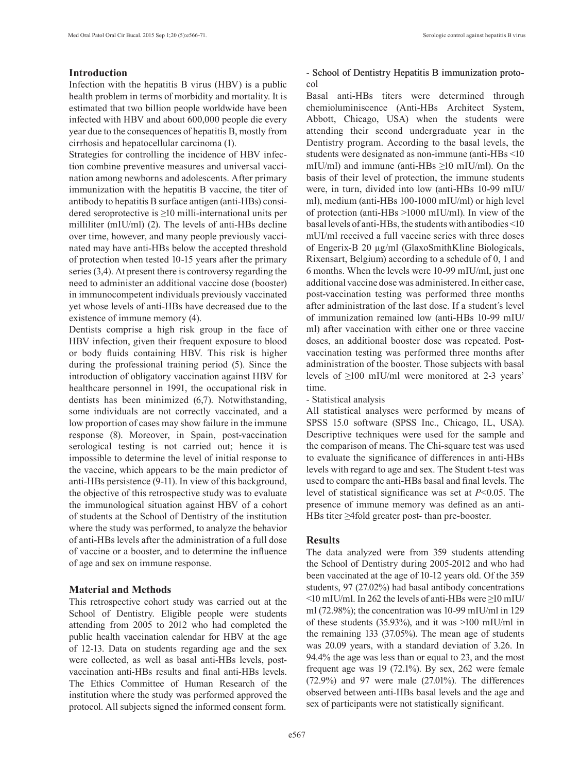## **Introduction**

Infection with the hepatitis B virus (HBV) is a public health problem in terms of morbidity and mortality. It is estimated that two billion people worldwide have been infected with HBV and about 600,000 people die every year due to the consequences of hepatitis B, mostly from cirrhosis and hepatocellular carcinoma (1).

Strategies for controlling the incidence of HBV infection combine preventive measures and universal vaccination among newborns and adolescents. After primary immunization with the hepatitis B vaccine, the titer of antibody to hepatitis B surface antigen (anti-HBs) considered seroprotective is ≥10 milli-international units per milliliter (mIU/ml) (2). The levels of anti-HBs decline over time, however, and many people previously vaccinated may have anti-HBs below the accepted threshold of protection when tested 10-15 years after the primary series (3,4). At present there is controversy regarding the need to administer an additional vaccine dose (booster) in immunocompetent individuals previously vaccinated yet whose levels of anti-HBs have decreased due to the existence of immune memory (4).

Dentists comprise a high risk group in the face of HBV infection, given their frequent exposure to blood or body fluids containing HBV. This risk is higher during the professional training period (5). Since the introduction of obligatory vaccination against HBV for healthcare personnel in 1991, the occupational risk in dentists has been minimized (6,7). Notwithstanding, some individuals are not correctly vaccinated, and a low proportion of cases may show failure in the immune response (8). Moreover, in Spain, post-vaccination serological testing is not carried out; hence it is impossible to determine the level of initial response to the vaccine, which appears to be the main predictor of anti-HBs persistence (9-11). In view of this background, the objective of this retrospective study was to evaluate the immunological situation against HBV of a cohort of students at the School of Dentistry of the institution where the study was performed, to analyze the behavior of anti-HBs levels after the administration of a full dose of vaccine or a booster, and to determine the influence of age and sex on immune response.

### **Material and Methods**

This retrospective cohort study was carried out at the School of Dentistry. Eligible people were students attending from 2005 to 2012 who had completed the public health vaccination calendar for HBV at the age of 12-13. Data on students regarding age and the sex were collected, as well as basal anti-HBs levels, postvaccination anti-HBs results and final anti-HBs levels. The Ethics Committee of Human Research of the institution where the study was performed approved the protocol. All subjects signed the informed consent form.

## - School of Dentistry Hepatitis B immunization protocol

Basal anti-HBs titers were determined through chemioluminiscence (Anti-HBs Architect System, Abbott, Chicago, USA) when the students were attending their second undergraduate year in the Dentistry program. According to the basal levels, the students were designated as non-immune (anti-HBs <10 mIU/ml) and immune (anti-HBs ≥10 mIU/ml). On the basis of their level of protection, the immune students were, in turn, divided into low (anti-HBs 10-99 mIU/ ml), medium (anti-HBs 100-1000 mIU/ml) or high level of protection (anti-HBs >1000 mIU/ml). In view of the basal levels of anti-HBs, the students with antibodies <10 mUI/ml received a full vaccine series with three doses of Engerix-B 20 µg/ml (GlaxoSmithKline Biologicals, Rixensart, Belgium) according to a schedule of 0, 1 and 6 months. When the levels were 10-99 mIU/ml, just one additional vaccine dose was administered. In either case, post-vaccination testing was performed three months after administration of the last dose. If a student´s level of immunization remained low (anti-HBs 10-99 mIU/ ml) after vaccination with either one or three vaccine doses, an additional booster dose was repeated. Postvaccination testing was performed three months after administration of the booster. Those subjects with basal levels of ≥100 mIU/ml were monitored at 2-3 years' time.

- Statistical analysis

All statistical analyses were performed by means of SPSS 15.0 software (SPSS Inc., Chicago, IL, USA). Descriptive techniques were used for the sample and the comparison of means. The Chi-square test was used to evaluate the significance of differences in anti-HBs levels with regard to age and sex. The Student t-test was used to compare the anti-HBs basal and final levels. The level of statistical significance was set at *P*<0.05. The presence of immune memory was defined as an anti-HBs titer ≥4fold greater post- than pre-booster.

## **Results**

The data analyzed were from 359 students attending the School of Dentistry during 2005-2012 and who had been vaccinated at the age of 10-12 years old. Of the 359 students, 97 (27.02%) had basal antibody concentrations <10 mIU/ml. In 262 the levels of anti-HBs were ≥10 mIU/ ml (72.98%); the concentration was 10-99 mIU/ml in 129 of these students (35.93%), and it was >100 mIU/ml in the remaining 133 (37.05%). The mean age of students was 20.09 years, with a standard deviation of 3.26. In 94.4% the age was less than or equal to 23, and the most frequent age was 19 (72.1%). By sex, 262 were female (72.9%) and 97 were male (27.01%). The differences observed between anti-HBs basal levels and the age and sex of participants were not statistically significant.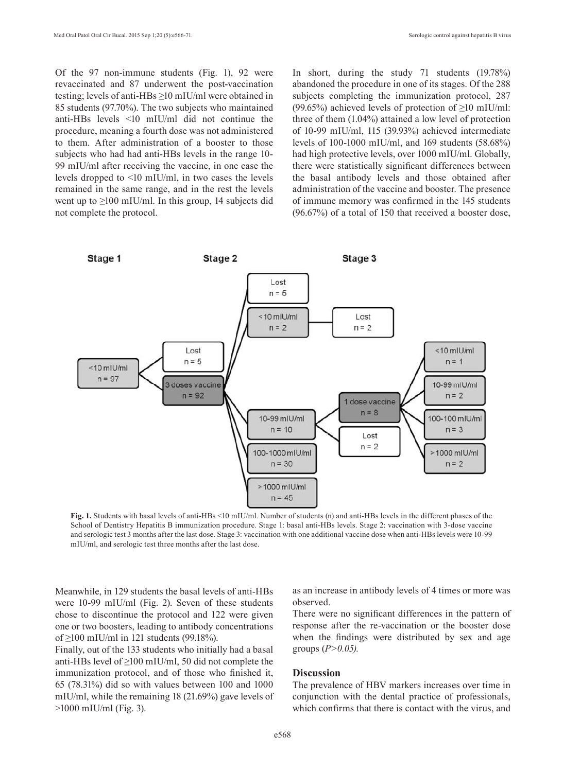Of the 97 non-immune students (Fig. 1), 92 were revaccinated and 87 underwent the post-vaccination testing; levels of anti-HBs ≥10 mIU/ml were obtained in 85 students (97.70%). The two subjects who maintained anti-HBs levels <10 mIU/ml did not continue the procedure, meaning a fourth dose was not administered to them. After administration of a booster to those subjects who had had anti-HBs levels in the range 10- 99 mIU/ml after receiving the vaccine, in one case the levels dropped to <10 mIU/ml, in two cases the levels remained in the same range, and in the rest the levels went up to  $\geq$ 100 mIU/ml. In this group, 14 subjects did not complete the protocol.

In short, during the study 71 students (19.78%) abandoned the procedure in one of its stages. Of the 288 subjects completing the immunization protocol, 287 (99.65%) achieved levels of protection of  $\geq 10$  mIU/ml: three of them (1.04%) attained a low level of protection of 10-99 mIU/ml, 115 (39.93%) achieved intermediate levels of 100-1000 mIU/ml, and 169 students (58.68%) had high protective levels, over 1000 mIU/ml. Globally, there were statistically significant differences between the basal antibody levels and those obtained after administration of the vaccine and booster. The presence of immune memory was confirmed in the 145 students (96.67%) of a total of 150 that received a booster dose,



**Fig. 1.** Students with basal levels of anti-HBs <10 mIU/ml. Number of students (n) and anti-HBs levels in the different phases of the School of Dentistry Hepatitis B immunization procedure. Stage 1: basal anti-HBs levels. Stage 2: vaccination with 3-dose vaccine and serologic test 3 months after the last dose. Stage 3: vaccination with one additional vaccine dose when anti-HBs levels were 10-99 mIU/ml, and serologic test three months after the last dose.

Meanwhile, in 129 students the basal levels of anti-HBs were 10-99 mIU/ml (Fig. 2). Seven of these students chose to discontinue the protocol and 122 were given one or two boosters, leading to antibody concentrations of ≥100 mIU/ml in 121 students (99.18%).

Finally, out of the 133 students who initially had a basal anti-HBs level of ≥100 mIU/ml, 50 did not complete the immunization protocol, and of those who finished it, 65 (78.31%) did so with values between 100 and 1000 mIU/ml, while the remaining 18 (21.69%) gave levels of >1000 mIU/ml (Fig. 3).

as an increase in antibody levels of 4 times or more was observed.

There were no significant differences in the pattern of response after the re-vaccination or the booster dose when the findings were distributed by sex and age groups (*P>0.05).* 

## **Discussion**

The prevalence of HBV markers increases over time in conjunction with the dental practice of professionals, which confirms that there is contact with the virus, and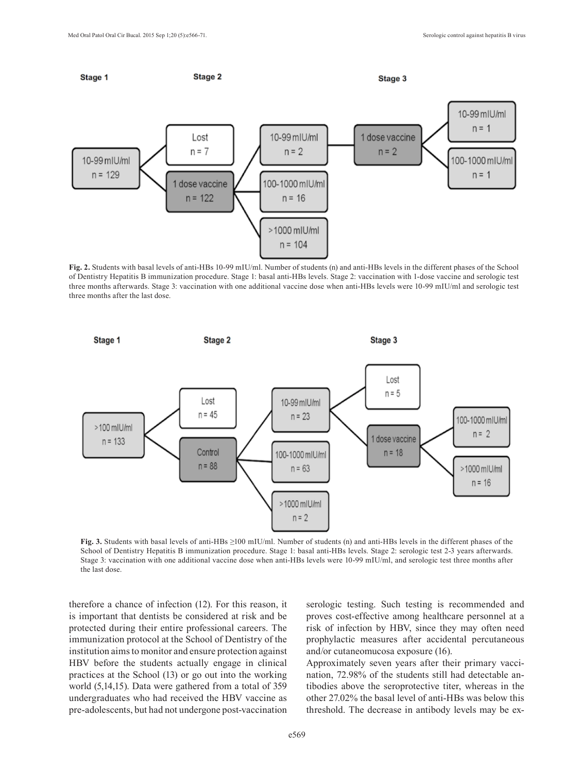

**Fig. 2.** Students with basal levels of anti-HBs 10-99 mIU/ml. Number of students (n) and anti-HBs levels in the different phases of the School of Dentistry Hepatitis B immunization procedure. Stage 1: basal anti-HBs levels. Stage 2: vaccination with 1-dose vaccine and serologic test three months afterwards. Stage 3: vaccination with one additional vaccine dose when anti-HBs levels were 10-99 mIU/ml and serologic test three months after the last dose.



**Fig. 3.** Students with basal levels of anti-HBs ≥100 mIU/ml. Number of students (n) and anti-HBs levels in the different phases of the School of Dentistry Hepatitis B immunization procedure. Stage 1: basal anti-HBs levels. Stage 2: serologic test 2-3 years afterwards. Stage 3: vaccination with one additional vaccine dose when anti-HBs levels were 10-99 mIU/ml, and serologic test three months after the last dose.

therefore a chance of infection (12). For this reason, it is important that dentists be considered at risk and be protected during their entire professional careers. The immunization protocol at the School of Dentistry of the institution aims to monitor and ensure protection against HBV before the students actually engage in clinical practices at the School (13) or go out into the working world (5,14,15). Data were gathered from a total of 359 undergraduates who had received the HBV vaccine as pre-adolescents, but had not undergone post-vaccination serologic testing. Such testing is recommended and proves cost-effective among healthcare personnel at a risk of infection by HBV, since they may often need prophylactic measures after accidental percutaneous and/or cutaneomucosa exposure (16).

Approximately seven years after their primary vaccination, 72.98% of the students still had detectable antibodies above the seroprotective titer, whereas in the other 27.02% the basal level of anti-HBs was below this threshold. The decrease in antibody levels may be ex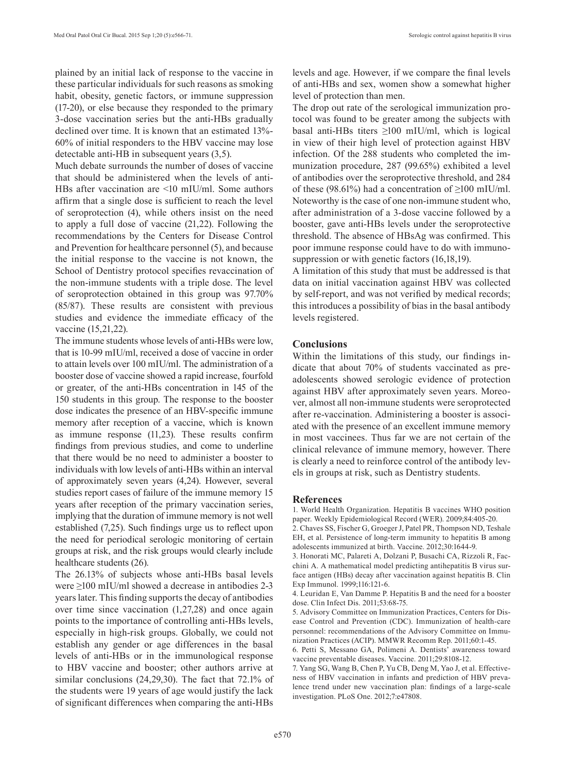plained by an initial lack of response to the vaccine in these particular individuals for such reasons as smoking habit, obesity, genetic factors, or immune suppression (17-20), or else because they responded to the primary 3-dose vaccination series but the anti-HBs gradually declined over time. It is known that an estimated 13%- 60% of initial responders to the HBV vaccine may lose detectable anti-HB in subsequent years (3,5).

Much debate surrounds the number of doses of vaccine that should be administered when the levels of anti-HBs after vaccination are <10 mIU/ml. Some authors affirm that a single dose is sufficient to reach the level of seroprotection (4), while others insist on the need to apply a full dose of vaccine (21,22). Following the recommendations by the Centers for Disease Control and Prevention for healthcare personnel (5), and because the initial response to the vaccine is not known, the School of Dentistry protocol specifies revaccination of the non-immune students with a triple dose. The level of seroprotection obtained in this group was 97.70% (85/87). These results are consistent with previous studies and evidence the immediate efficacy of the vaccine (15,21,22).

The immune students whose levels of anti-HBs were low, that is 10-99 mIU/ml, received a dose of vaccine in order to attain levels over 100 mIU/ml. The administration of a booster dose of vaccine showed a rapid increase, fourfold or greater, of the anti-HBs concentration in 145 of the 150 students in this group. The response to the booster dose indicates the presence of an HBV-specific immune memory after reception of a vaccine, which is known as immune response (11,23). These results confirm findings from previous studies, and come to underline that there would be no need to administer a booster to individuals with low levels of anti-HBs within an interval of approximately seven years (4,24). However, several studies report cases of failure of the immune memory 15 years after reception of the primary vaccination series, implying that the duration of immune memory is not well established (7,25). Such findings urge us to reflect upon the need for periodical serologic monitoring of certain groups at risk, and the risk groups would clearly include healthcare students (26).

The 26.13% of subjects whose anti-HBs basal levels were ≥100 mIU/ml showed a decrease in antibodies 2-3 years later. This finding supports the decay of antibodies over time since vaccination (1,27,28) and once again points to the importance of controlling anti-HBs levels, especially in high-risk groups. Globally, we could not establish any gender or age differences in the basal levels of anti-HBs or in the immunological response to HBV vaccine and booster; other authors arrive at similar conclusions (24,29,30). The fact that 72.1% of the students were 19 years of age would justify the lack of significant differences when comparing the anti-HBs levels and age. However, if we compare the final levels of anti-HBs and sex, women show a somewhat higher level of protection than men.

The drop out rate of the serological immunization protocol was found to be greater among the subjects with basal anti-HBs titers  $\geq 100$  mIU/ml, which is logical in view of their high level of protection against HBV infection. Of the 288 students who completed the immunization procedure, 287 (99.65%) exhibited a level of antibodies over the seroprotective threshold, and 284 of these (98.61%) had a concentration of  $\geq 100$  mIU/ml. Noteworthy is the case of one non-immune student who, after administration of a 3-dose vaccine followed by a booster, gave anti-HBs levels under the seroprotective threshold. The absence of HBsAg was confirmed. This poor immune response could have to do with immunosuppression or with genetic factors (16,18,19).

A limitation of this study that must be addressed is that data on initial vaccination against HBV was collected by self-report, and was not verified by medical records; this introduces a possibility of bias in the basal antibody levels registered.

#### **Conclusions**

Within the limitations of this study, our findings indicate that about 70% of students vaccinated as preadolescents showed serologic evidence of protection against HBV after approximately seven years. Moreover, almost all non-immune students were seroprotected after re-vaccination. Administering a booster is associated with the presence of an excellent immune memory in most vaccinees. Thus far we are not certain of the clinical relevance of immune memory, however. There is clearly a need to reinforce control of the antibody levels in groups at risk, such as Dentistry students.

#### **References**

1. World Health Organization. Hepatitis B vaccines WHO position paper. Weekly Epidemiological Record (WER). 2009;84:405-20.

2. Chaves SS, Fischer G, Groeger J, Patel PR, Thompson ND, Teshale EH, et al. Persistence of long-term immunity to hepatitis B among adolescents immunized at birth. Vaccine. 2012;30:1644-9.

3. Honorati MC, Palareti A, Dolzani P, Busachi CA, Rizzoli R, Facchini A. A mathematical model predicting antihepatitis B virus surface antigen (HBs) decay after vaccination against hepatitis B. Clin Exp Immunol. 1999;116:121-6.

4. Leuridan E, Van Damme P. Hepatitis B and the need for a booster dose. Clin Infect Dis. 2011;53:68-75.

5. Advisory Committee on Immunization Practices, Centers for Disease Control and Prevention (CDC). Immunization of health-care personnel: recommendations of the Advisory Committee on Immunization Practices (ACIP). MMWR Recomm Rep. 2011;60:1-45.

6. Petti S, Messano GA, Polimeni A. Dentists' awareness toward vaccine preventable diseases. Vaccine. 2011;29:8108-12.

7. Yang SG, Wang B, Chen P, Yu CB, Deng M, Yao J, et al. Effectiveness of HBV vaccination in infants and prediction of HBV prevalence trend under new vaccination plan: findings of a large-scale investigation. PLoS One. 2012;7:e47808.